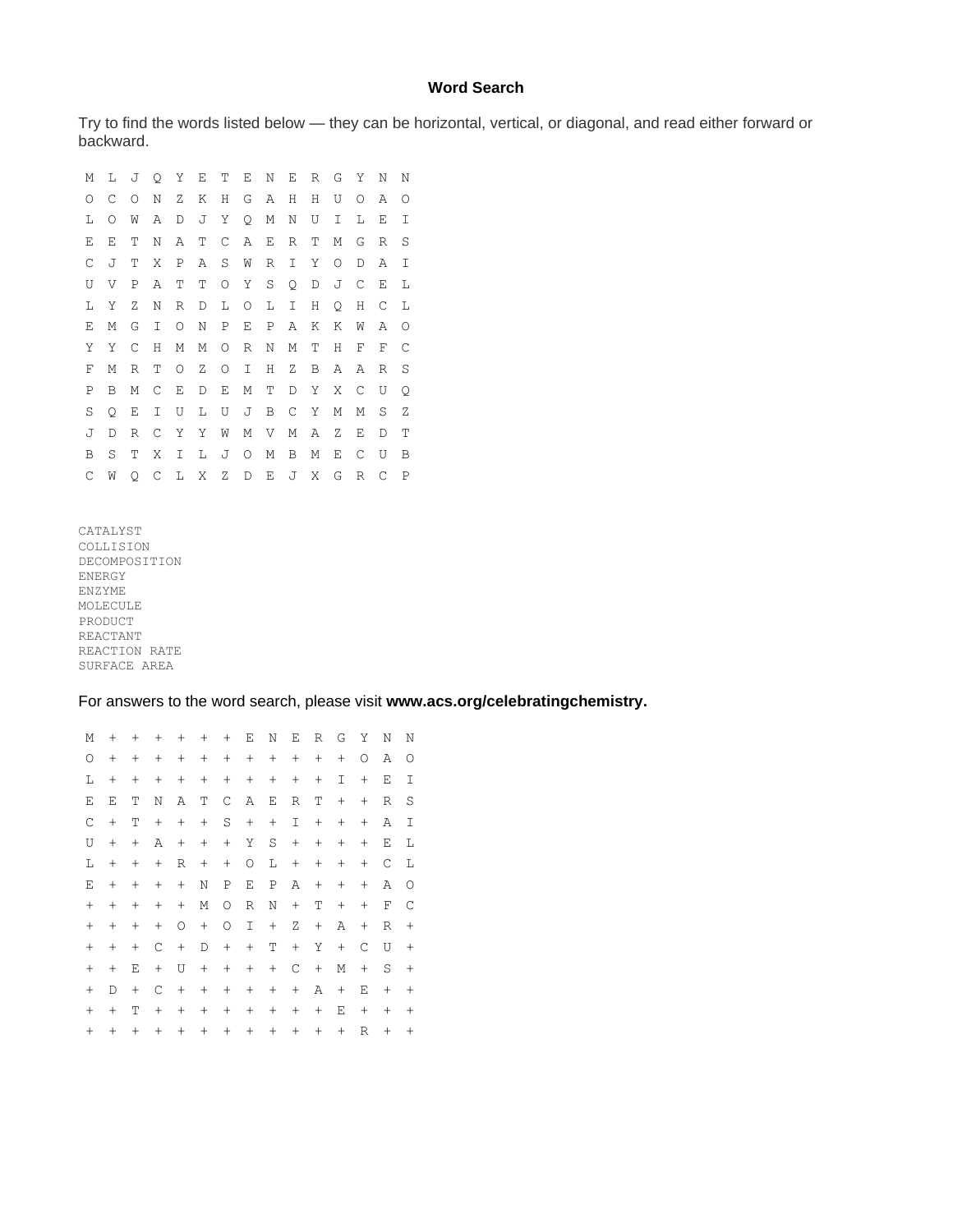## **Word Search**

Try to find the words listed below — they can be horizontal, vertical, or diagonal, and read either forward or backward.

| М | L | J           | O | Υ | Е | Т | Ε | Ν | Ε | R | G | Υ | Ν | N |
|---|---|-------------|---|---|---|---|---|---|---|---|---|---|---|---|
| Ο | С | Ο           | Ν | Ζ | Κ | Η | G | Α | Η | Η | U | Ω | Α | O |
| L | Ω | W           | Α | D | J | Υ | Q | Μ | Ν | U | Ι | L | Ε | Ι |
| E | Ε | Τ           | Ν | Α | Т | C | Α | Ε | R | Т | М | G | R | S |
| С | J | Т           | Χ | Ρ | Α | S | W | R | Ι | Υ | Ο | D | Α | Ι |
| U | V | P           | Α | Т | Т | O | Υ | S | Q | D | J | C | Ε | L |
| L | Υ | Ζ           | Ν | R | D | Г | О | Г | Ι | Η | Q | Н | С | L |
| Ε | Μ | G           | Ι | О | Ν | Ρ | Ε | Ρ | Α | Κ | К | W | Α | О |
| Υ | Υ | C           | Н | М | М | O | R | Ν | М | Т | Η | F | F | С |
| F | М | R           | Т | O | Ζ | O | I | Η | Ζ | B | Α | Α | R | S |
| Ρ | В | Μ           | C | Е | D | Ε | М | Т | D | Υ | Χ | C | U | Q |
| S | Q | Ε           | Ι | U | Г | U | J | B | C | Υ | М | М | S | Ζ |
| J | D | $\mathbb R$ | C | Υ | Υ | W | М | V | М | Α | Ζ | Ε | D | Т |
| В | S | Т           | Χ | I | L | J | O | М | В | Μ | Ε | C | U | В |
| C | W | Q           | С | L | Χ | Ζ | D | Ε | J | Χ | G | R | С | P |

CATALYST COLLISION DECOMPOSITION ENERGY ENZYME MOLECULE PRODUCT REACTANT REACTION RATE SURFACE AREA

For answers to the word search, please visit **[www.acs.org/celebratingchemistry.](http://www.acs.org/celebratingchemistry)**

M + + + + + + E N E R G Y N N O + + + + + + + + + + + O A O L + + + + + + + + + + I + E I E E T N A T C A E R T + + R S  $C + T + + + S + + I + + + A I$ U + + A + + + Y S + + + + E L L + + + R + + O L + + + + C L E + + + + N P E P A + + + A O + + + + + M O R N + T + + F C + + + + O + O I + Z + A + R + + + + C + D + + T + Y + C U + + + E + U + + + + C + M + S + + D + C + + + + + + A + E + + + + T + + + + + + + + E + + + + + + + + + + + + + + + R + +